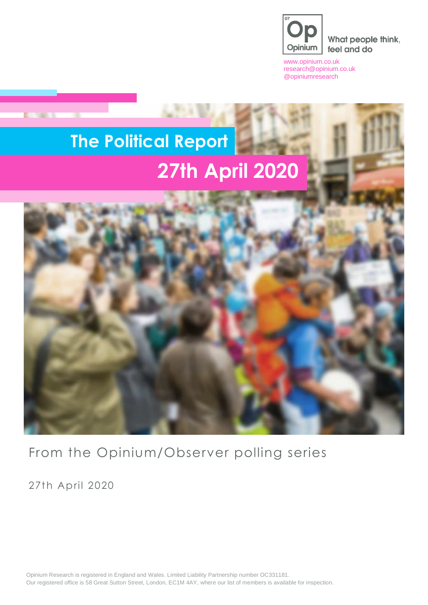

What people think, feel and do

[www.opinium.co.uk](http://www.opinium.co.uk/) [research@opinium.co.uk](mailto:research@opinium.co.uk) @opiniumresearch

# **The Political Report 27th April 2020**



From the Opinium/Observer polling series

27th April 2020

**DOM: NO** 

Opinium Research is registered in England and Wales. Limited Liability Partnership number OC331181. Our registered office is 58 Great Sutton Street, London, EC1M 4AY, where our list of members is available for inspection.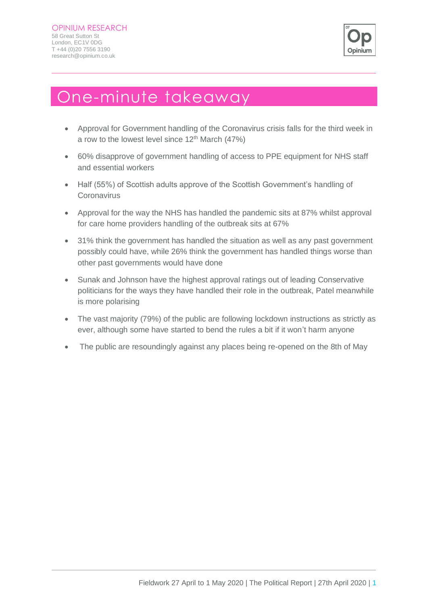

### One-minute takeaway

- Approval for Government handling of the Coronavirus crisis falls for the third week in a row to the lowest level since  $12^{th}$  March (47%)
- 60% disapprove of government handling of access to PPE equipment for NHS staff and essential workers
- Half (55%) of Scottish adults approve of the Scottish Government's handling of **Coronavirus**
- Approval for the way the NHS has handled the pandemic sits at 87% whilst approval for care home providers handling of the outbreak sits at 67%
- 31% think the government has handled the situation as well as any past government possibly could have, while 26% think the government has handled things worse than other past governments would have done
- Sunak and Johnson have the highest approval ratings out of leading Conservative politicians for the ways they have handled their role in the outbreak, Patel meanwhile is more polarising
- The vast majority (79%) of the public are following lockdown instructions as strictly as ever, although some have started to bend the rules a bit if it won't harm anyone
- The public are resoundingly against any places being re-opened on the 8th of May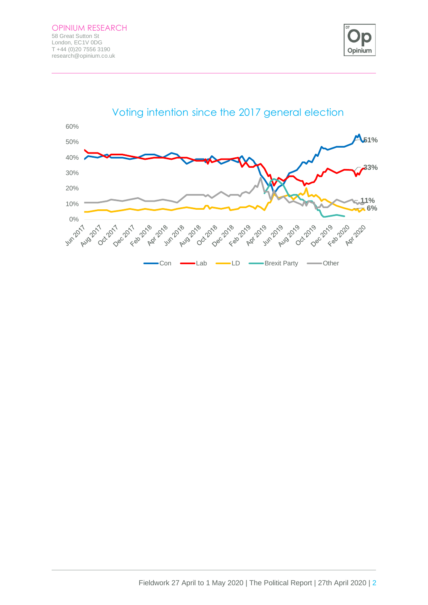

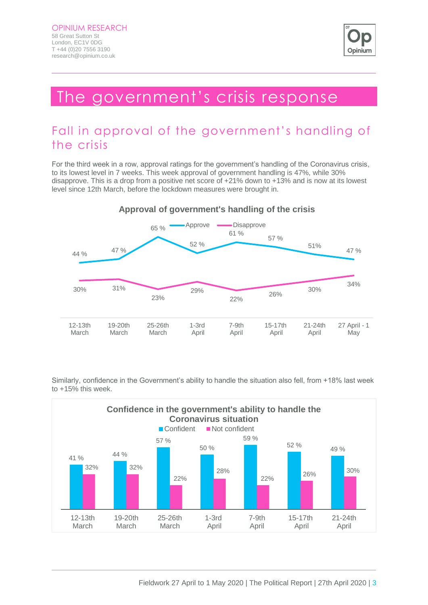

### The government's crisis response

### Fall in approval of the government's handling of the crisis

For the third week in a row, approval ratings for the government's handling of the Coronavirus crisis, to its lowest level in 7 weeks. This week approval of government handling is 47%, while 30% disapprove. This is a drop from a positive net score of +21% down to +13% and is now at its lowest level since 12th March, before the lockdown measures were brought in.



#### **Approval of government's handling of the crisis**

Similarly, confidence in the Government's ability to handle the situation also fell, from +18% last week to +15% this week.

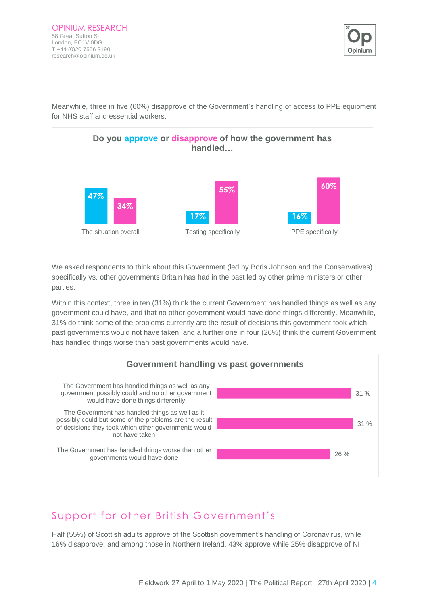

Meanwhile, three in five (60%) disapprove of the Government's handling of access to PPE equipment for NHS staff and essential workers.



We asked respondents to think about this Government (led by Boris Johnson and the Conservatives) specifically vs. other governments Britain has had in the past led by other prime ministers or other parties.

Within this context, three in ten (31%) think the current Government has handled things as well as any government could have, and that no other government would have done things differently. Meanwhile, 31% do think some of the problems currently are the result of decisions this government took which past governments would not have taken, and a further one in four (26%) think the current Government has handled things worse than past governments would have.



#### Support for other British Government's

Half (55%) of Scottish adults approve of the Scottish government's handling of Coronavirus, while 16% disapprove, and among those in Northern Ireland, 43% approve while 25% disapprove of NI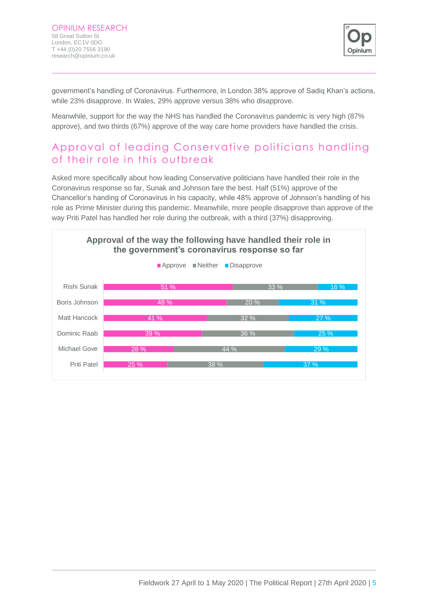

government's handling of Coronavirus. Furthermore, in London 38% approve of Sadiq Khan's actions, while 23% disapprove. In Wales, 29% approve versus 38% who disapprove.

Meanwhile, support for the way the NHS has handled the Coronavirus pandemic is very high (87% approve), and two thirds (67%) approve of the way care home providers have handled the crisis.

#### Approval of leading Conservative politicians handling of their role in this outbreak

Asked more specifically about how leading Conservative politicians have handled their role in the Coronavirus response so far, Sunak and Johnson fare the best. Half (51%) approve of the Chancellor's handing of Coronavirus in his capacity, while 48% approve of Johnson's handling of his role as Prime Minister during this pandemic. Meanwhile, more people disapprove than approve of the way Priti Patel has handled her role during the outbreak, with a third (37%) disapproving.

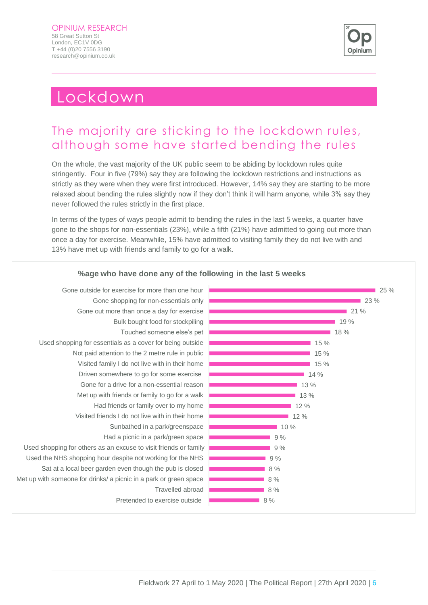

 $25 \%$ 

 $23 \%$ 

 $21 \%$ 

19 % 18 %

### Lockdown

### The majority are sticking to the lockdown rules, although some have started bending the rules

On the whole, the vast majority of the UK public seem to be abiding by lockdown rules quite stringently. Four in five (79%) say they are following the lockdown restrictions and instructions as strictly as they were when they were first introduced. However, 14% say they are starting to be more relaxed about bending the rules slightly now if they don't think it will harm anyone, while 3% say they never followed the rules strictly in the first place.

In terms of the types of ways people admit to bending the rules in the last 5 weeks, a quarter have gone to the shops for non-essentials (23%), while a fifth (21%) have admitted to going out more than once a day for exercise. Meanwhile, 15% have admitted to visiting family they do not live with and 13% have met up with friends and family to go for a walk.



#### **%age who have done any of the following in the last 5 weeks**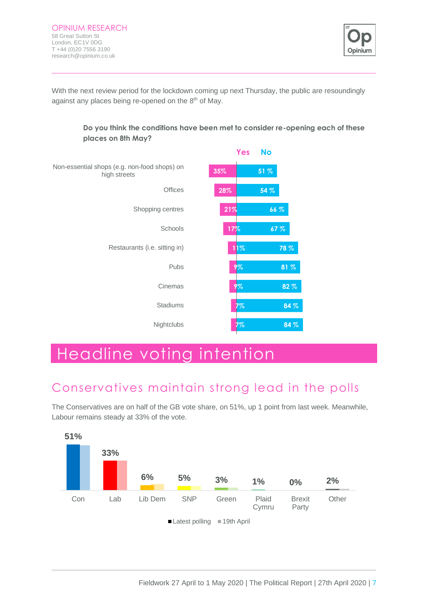

With the next review period for the lockdown coming up next Thursday, the public are resoundingly against any places being re-opened on the 8<sup>th</sup> of May.



**Do you think the conditions have been met to consider re-opening each of these** 

## Headline voting intention

### Conservatives maintain strong lead in the polls

The Conservatives are on half of the GB vote share, on 51%, up 1 point from last week. Meanwhile, Labour remains steady at 33% of the vote.